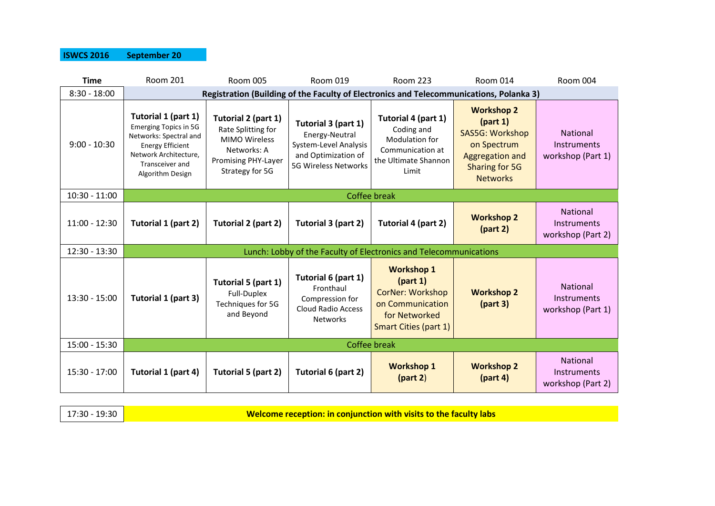#### **ISWCS 2016 September 20**

| <b>Time</b>     | <b>Room 201</b>                                                                                                                                                          | <b>Room 005</b>                                                                                                                   | Room 019                                                                                                             | <b>Room 223</b>                                                                                                               | <b>Room 014</b>                                                                                                                       | Room 004                                                   |
|-----------------|--------------------------------------------------------------------------------------------------------------------------------------------------------------------------|-----------------------------------------------------------------------------------------------------------------------------------|----------------------------------------------------------------------------------------------------------------------|-------------------------------------------------------------------------------------------------------------------------------|---------------------------------------------------------------------------------------------------------------------------------------|------------------------------------------------------------|
| $8:30 - 18:00$  | Registration (Building of the Faculty of Electronics and Telecommunications, Polanka 3)                                                                                  |                                                                                                                                   |                                                                                                                      |                                                                                                                               |                                                                                                                                       |                                                            |
| $9:00 - 10:30$  | Tutorial 1 (part 1)<br><b>Emerging Topics in 5G</b><br>Networks: Spectral and<br><b>Energy Efficient</b><br>Network Architecture,<br>Transceiver and<br>Algorithm Design | Tutorial 2 (part 1)<br>Rate Splitting for<br><b>MIMO Wireless</b><br>Networks: A<br><b>Promising PHY-Layer</b><br>Strategy for 5G | Tutorial 3 (part 1)<br>Energy-Neutral<br>System-Level Analysis<br>and Optimization of<br><b>5G Wireless Networks</b> | Tutorial 4 (part 1)<br>Coding and<br>Modulation for<br>Communication at<br>the Ultimate Shannon<br>Limit                      | <b>Workshop 2</b><br>(part 1)<br>SAS5G: Workshop<br>on Spectrum<br><b>Aggregation and</b><br><b>Sharing for 5G</b><br><b>Networks</b> | <b>National</b><br><b>Instruments</b><br>workshop (Part 1) |
| $10:30 - 11:00$ | <b>Coffee break</b>                                                                                                                                                      |                                                                                                                                   |                                                                                                                      |                                                                                                                               |                                                                                                                                       |                                                            |
| $11:00 - 12:30$ | Tutorial 1 (part 2)                                                                                                                                                      | Tutorial 2 (part 2)                                                                                                               | Tutorial 3 (part 2)                                                                                                  | Tutorial 4 (part 2)                                                                                                           | <b>Workshop 2</b><br>(part 2)                                                                                                         | National<br>Instruments<br>workshop (Part 2)               |
| $12:30 - 13:30$ |                                                                                                                                                                          | Lunch: Lobby of the Faculty of Electronics and Telecommunications                                                                 |                                                                                                                      |                                                                                                                               |                                                                                                                                       |                                                            |
| 13:30 - 15:00   | Tutorial 1 (part 3)                                                                                                                                                      | Tutorial 5 (part 1)<br>Full-Duplex<br>Techniques for 5G<br>and Beyond                                                             | Tutorial 6 (part 1)<br>Fronthaul<br>Compression for<br><b>Cloud Radio Access</b><br><b>Networks</b>                  | <b>Workshop 1</b><br>(part 1)<br><b>CorNer: Workshop</b><br>on Communication<br>for Networked<br><b>Smart Cities (part 1)</b> | <b>Workshop 2</b><br>(part 3)                                                                                                         | National<br>Instruments<br>workshop (Part 1)               |
| $15:00 - 15:30$ | Coffee break                                                                                                                                                             |                                                                                                                                   |                                                                                                                      |                                                                                                                               |                                                                                                                                       |                                                            |
| 15:30 - 17:00   | Tutorial 1 (part 4)                                                                                                                                                      | Tutorial 5 (part 2)                                                                                                               | Tutorial 6 (part 2)                                                                                                  | <b>Workshop 1</b><br>(part 2)                                                                                                 | <b>Workshop 2</b><br>(part 4)                                                                                                         | National<br><b>Instruments</b><br>workshop (Part 2)        |

17:30 - 19:30 **Welcome reception: in conjunction with visits to the faculty labs**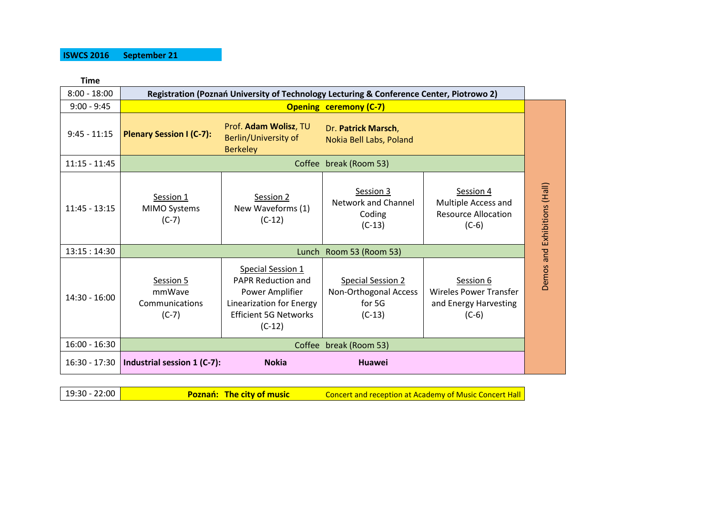#### **ISWCS 2016 September 21**

**Time**

| $8:00 - 18:00$  | Registration (Poznań University of Technology Lecturing & Conference Center, Piotrowo 2) |                                                                                                                                                  |                                                                         |                                                                                |                              |
|-----------------|------------------------------------------------------------------------------------------|--------------------------------------------------------------------------------------------------------------------------------------------------|-------------------------------------------------------------------------|--------------------------------------------------------------------------------|------------------------------|
| $9:00 - 9:45$   | <b>Opening ceremony (C-7)</b>                                                            |                                                                                                                                                  |                                                                         |                                                                                |                              |
| $9:45 - 11:15$  | <b>Plenary Session I (C-7):</b>                                                          | Prof. Adam Wolisz, TU<br>Berlin/University of<br><b>Berkeley</b>                                                                                 | Dr. Patrick Marsch,<br>Nokia Bell Labs, Poland                          |                                                                                |                              |
| $11:15 - 11:45$ | Coffee break (Room 53)                                                                   |                                                                                                                                                  |                                                                         |                                                                                |                              |
| $11:45 - 13:15$ | Session 1<br>MIMO Systems<br>$(C-7)$                                                     | Session 2<br>New Waveforms (1)<br>$(C-12)$                                                                                                       | Session 3<br><b>Network and Channel</b><br>Coding<br>$(C-13)$           | Session 4<br>Multiple Access and<br><b>Resource Allocation</b><br>$(C-6)$      | Demos and Exhibitions (Hall) |
| 13:15:14:30     | Lunch Room 53 (Room 53)                                                                  |                                                                                                                                                  |                                                                         |                                                                                |                              |
| $14:30 - 16:00$ | Session 5<br>mmWave<br>Communications<br>$(C-7)$                                         | <b>Special Session 1</b><br><b>PAPR Reduction and</b><br>Power Amplifier<br>Linearization for Energy<br><b>Efficient 5G Networks</b><br>$(C-12)$ | <b>Special Session 2</b><br>Non-Orthogonal Access<br>for 5G<br>$(C-13)$ | Session 6<br><b>Wireles Power Transfer</b><br>and Energy Harvesting<br>$(C-6)$ |                              |
| $16:00 - 16:30$ | Coffee break (Room 53)                                                                   |                                                                                                                                                  |                                                                         |                                                                                |                              |
| $16:30 - 17:30$ | Industrial session 1 (C-7):                                                              | <b>Nokia</b>                                                                                                                                     | Huawei                                                                  |                                                                                |                              |

19:30 - 22:00 **Poznań: The city of music** Concert and reception at Academy of Music Concert Hall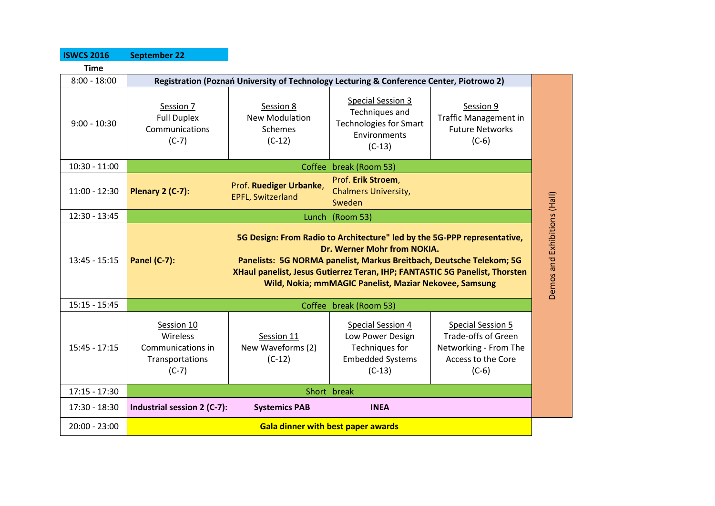| <b>ISWCS 2016</b> | <b>September 22</b>                                                                                                                                                                                                                                                                                                                             |                                                           |                                                                                                         |                                                                                                                  |                              |
|-------------------|-------------------------------------------------------------------------------------------------------------------------------------------------------------------------------------------------------------------------------------------------------------------------------------------------------------------------------------------------|-----------------------------------------------------------|---------------------------------------------------------------------------------------------------------|------------------------------------------------------------------------------------------------------------------|------------------------------|
| <b>Time</b>       |                                                                                                                                                                                                                                                                                                                                                 |                                                           |                                                                                                         |                                                                                                                  |                              |
| $8:00 - 18:00$    | Registration (Poznań University of Technology Lecturing & Conference Center, Piotrowo 2)                                                                                                                                                                                                                                                        |                                                           |                                                                                                         |                                                                                                                  |                              |
| $9:00 - 10:30$    | Session 7<br><b>Full Duplex</b><br>Communications<br>$(C-7)$                                                                                                                                                                                                                                                                                    | Session 8<br><b>New Modulation</b><br>Schemes<br>$(C-12)$ | <b>Special Session 3</b><br>Techniques and<br><b>Technologies for Smart</b><br>Environments<br>$(C-13)$ | Session 9<br><b>Traffic Management in</b><br><b>Future Networks</b><br>$(C-6)$                                   |                              |
| $10:30 - 11:00$   |                                                                                                                                                                                                                                                                                                                                                 |                                                           | Coffee break (Room 53)                                                                                  |                                                                                                                  |                              |
| $11:00 - 12:30$   | <b>Plenary 2 (C-7):</b>                                                                                                                                                                                                                                                                                                                         | Prof. Ruediger Urbanke,<br><b>EPFL, Switzerland</b>       | Prof. Erik Stroem,<br><b>Chalmers University,</b><br>Sweden                                             |                                                                                                                  | Demos and Exhibitions (Hall) |
| $12:30 - 13:45$   | Lunch<br>(Room 53)                                                                                                                                                                                                                                                                                                                              |                                                           |                                                                                                         |                                                                                                                  |                              |
| $13:45 - 15:15$   | 5G Design: From Radio to Architecture" led by the 5G-PPP representative,<br>Dr. Werner Mohr from NOKIA.<br><b>Panel (C-7):</b><br>Panelists: 5G NORMA panelist, Markus Breitbach, Deutsche Telekom; 5G<br>XHaul panelist, Jesus Gutierrez Teran, IHP; FANTASTIC 5G Panelist, Thorsten<br>Wild, Nokia; mmMAGIC Panelist, Maziar Nekovee, Samsung |                                                           |                                                                                                         |                                                                                                                  |                              |
| $15:15 - 15:45$   | Coffee break (Room 53)                                                                                                                                                                                                                                                                                                                          |                                                           |                                                                                                         |                                                                                                                  |                              |
| $15:45 - 17:15$   | Session 10<br>Wireless<br>Communications in<br>Transportations<br>$(C-7)$                                                                                                                                                                                                                                                                       | Session 11<br>New Waveforms (2)<br>$(C-12)$               | Special Session 4<br>Low Power Design<br>Techniques for<br><b>Embedded Systems</b><br>$(C-13)$          | <b>Special Session 5</b><br><b>Trade-offs of Green</b><br>Networking - From The<br>Access to the Core<br>$(C-6)$ |                              |
| $17:15 - 17:30$   | Short break                                                                                                                                                                                                                                                                                                                                     |                                                           |                                                                                                         |                                                                                                                  |                              |
| 17:30 - 18:30     | Industrial session 2 (C-7):                                                                                                                                                                                                                                                                                                                     | <b>Systemics PAB</b>                                      | <b>INEA</b>                                                                                             |                                                                                                                  |                              |
| $20:00 - 23:00$   | <b>Gala dinner with best paper awards</b>                                                                                                                                                                                                                                                                                                       |                                                           |                                                                                                         |                                                                                                                  |                              |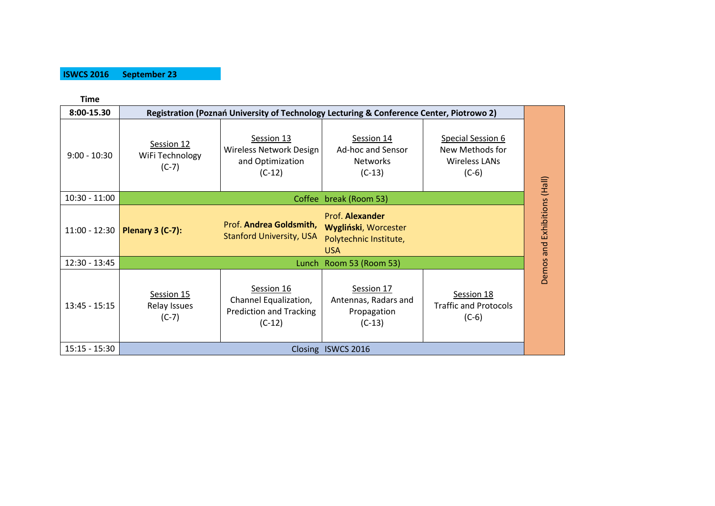#### **ISWCS 2016 September 23**

| <b>Time</b>     |                                                                                          |                                                                                   |                                                                                 |                                                                         |                              |
|-----------------|------------------------------------------------------------------------------------------|-----------------------------------------------------------------------------------|---------------------------------------------------------------------------------|-------------------------------------------------------------------------|------------------------------|
| 8:00-15.30      | Registration (Poznań University of Technology Lecturing & Conference Center, Piotrowo 2) |                                                                                   |                                                                                 |                                                                         |                              |
| $9:00 - 10:30$  | Session 12<br>WiFi Technology<br>$(C-7)$                                                 | Session 13<br>Wireless Network Design<br>and Optimization<br>$(C-12)$             | Session 14<br>Ad-hoc and Sensor<br><b>Networks</b><br>$(C-13)$                  | Special Session 6<br>New Methods for<br><b>Wireless LANs</b><br>$(C-6)$ |                              |
| $10:30 - 11:00$ | break (Room 53)<br>Coffee                                                                |                                                                                   |                                                                                 |                                                                         |                              |
| $11:00 - 12:30$ | Plenary 3 (C-7):                                                                         | Prof. Andrea Goldsmith,<br><b>Stanford University, USA</b>                        | Prof. Alexander<br>Wygliński, Worcester<br>Polytechnic Institute,<br><b>USA</b> |                                                                         | Demos and Exhibitions (Hall) |
| $12:30 - 13:45$ | Room 53 (Room 53)<br>Lunch                                                               |                                                                                   |                                                                                 |                                                                         |                              |
| $13:45 - 15:15$ | Session 15<br>Relay Issues<br>$(C-7)$                                                    | Session 16<br>Channel Equalization,<br><b>Prediction and Tracking</b><br>$(C-12)$ | Session 17<br>Antennas, Radars and<br>Propagation<br>$(C-13)$                   | Session 18<br><b>Traffic and Protocols</b><br>$(C-6)$                   |                              |
| $15:15 - 15:30$ | Closing ISWCS 2016                                                                       |                                                                                   |                                                                                 |                                                                         |                              |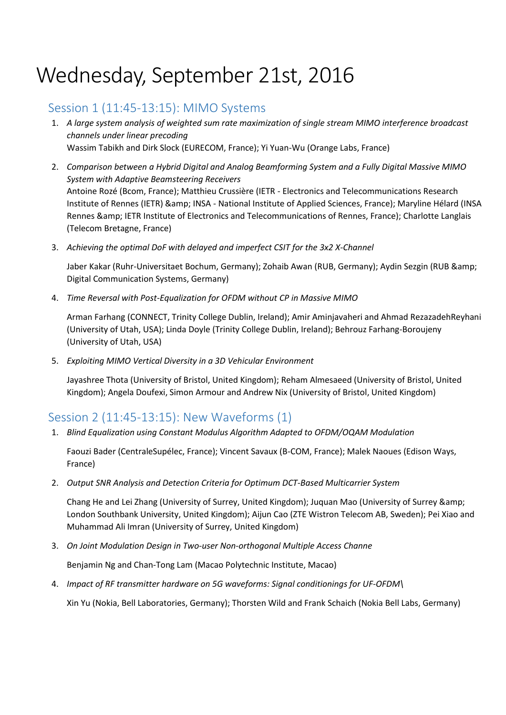# Wednesday, September 21st, 2016

# Session 1 (11:45-13:15): MIMO Systems

- 1. *A large system analysis of weighted sum rate maximization of single stream MIMO interference broadcast channels under linear precoding* Wassim Tabikh and Dirk Slock (EURECOM, France); Yi Yuan-Wu (Orange Labs, France)
- 2. *Comparison between a Hybrid Digital and Analog Beamforming System and a Fully Digital Massive MIMO System with Adaptive Beamsteering Receivers* Antoine Rozé (Bcom, France); Matthieu Crussière (IETR - Electronics and Telecommunications Research Institute of Rennes (IETR) & amp; INSA - National Institute of Applied Sciences, France); Maryline Hélard (INSA Rennes & amp; IETR Institute of Electronics and Telecommunications of Rennes, France); Charlotte Langlais (Telecom Bretagne, France)
- 3. *Achieving the optimal DoF with delayed and imperfect CSIT for the 3x2 X-Channel*

Jaber Kakar (Ruhr-Universitaet Bochum, Germany); Zohaib Awan (RUB, Germany); Aydin Sezgin (RUB & Digital Communication Systems, Germany)

4. *Time Reversal with Post-Equalization for OFDM without CP in Massive MIMO*

Arman Farhang (CONNECT, Trinity College Dublin, Ireland); Amir Aminjavaheri and Ahmad RezazadehReyhani (University of Utah, USA); Linda Doyle (Trinity College Dublin, Ireland); Behrouz Farhang-Boroujeny (University of Utah, USA)

5. *Exploiting MIMO Vertical Diversity in a 3D Vehicular Environment*

Jayashree Thota (University of Bristol, United Kingdom); Reham Almesaeed (University of Bristol, United Kingdom); Angela Doufexi, Simon Armour and Andrew Nix (University of Bristol, United Kingdom)

# Session 2 (11:45-13:15): New Waveforms (1)

1. *Blind Equalization using Constant Modulus Algorithm Adapted to OFDM/OQAM Modulation*

Faouzi Bader (CentraleSupélec, France); Vincent Savaux (B-COM, France); Malek Naoues (Edison Ways, France)

2. *Output SNR Analysis and Detection Criteria for Optimum DCT-Based Multicarrier System*

Chang He and Lei Zhang (University of Surrey, United Kingdom); Juquan Mao (University of Surrey & London Southbank University, United Kingdom); Aijun Cao (ZTE Wistron Telecom AB, Sweden); Pei Xiao and Muhammad Ali Imran (University of Surrey, United Kingdom)

3. *On Joint Modulation Design in Two-user Non-orthogonal Multiple Access Channe*

Benjamin Ng and Chan-Tong Lam (Macao Polytechnic Institute, Macao)

4. *Impact of RF transmitter hardware on 5G waveforms: Signal conditionings for UF-OFDM\*

Xin Yu (Nokia, Bell Laboratories, Germany); Thorsten Wild and Frank Schaich (Nokia Bell Labs, Germany)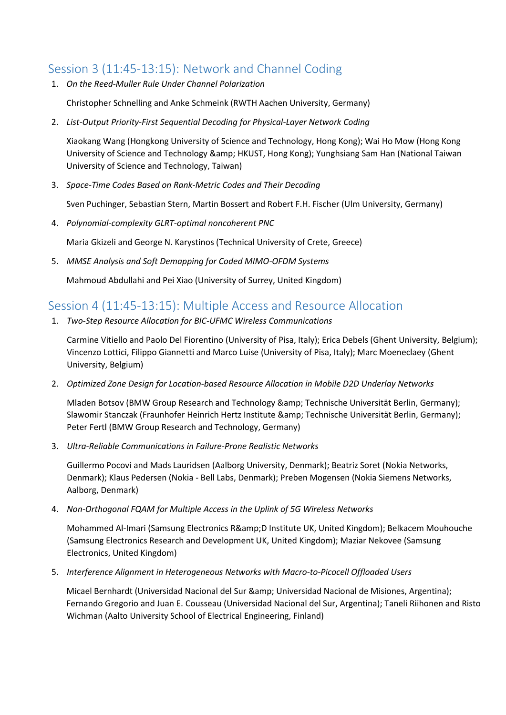# Session 3 (11:45-13:15): Network and Channel Coding

1. *On the Reed-Muller Rule Under Channel Polarization*

Christopher Schnelling and Anke Schmeink (RWTH Aachen University, Germany)

2. *List-Output Priority-First Sequential Decoding for Physical-Layer Network Coding*

Xiaokang Wang (Hongkong University of Science and Technology, Hong Kong); Wai Ho Mow (Hong Kong University of Science and Technology & amp; HKUST, Hong Kong); Yunghsiang Sam Han (National Taiwan University of Science and Technology, Taiwan)

3. *Space-Time Codes Based on Rank-Metric Codes and Their Decoding*

Sven Puchinger, Sebastian Stern, Martin Bossert and Robert F.H. Fischer (Ulm University, Germany)

4. *Polynomial-complexity GLRT-optimal noncoherent PNC*

Maria Gkizeli and George N. Karystinos (Technical University of Crete, Greece)

5. *MMSE Analysis and Soft Demapping for Coded MIMO-OFDM Systems*

Mahmoud Abdullahi and Pei Xiao (University of Surrey, United Kingdom)

# Session 4 (11:45-13:15): Multiple Access and Resource Allocation

1. *Two-Step Resource Allocation for BIC-UFMC Wireless Communications*

Carmine Vitiello and Paolo Del Fiorentino (University of Pisa, Italy); Erica Debels (Ghent University, Belgium); Vincenzo Lottici, Filippo Giannetti and Marco Luise (University of Pisa, Italy); Marc Moeneclaey (Ghent University, Belgium)

2. *Optimized Zone Design for Location-based Resource Allocation in Mobile D2D Underlay Networks*

Mladen Botsov (BMW Group Research and Technology & amp; Technische Universität Berlin, Germany); Slawomir Stanczak (Fraunhofer Heinrich Hertz Institute & amp; Technische Universität Berlin, Germany); Peter Fertl (BMW Group Research and Technology, Germany)

3. *Ultra-Reliable Communications in Failure-Prone Realistic Networks*

Guillermo Pocovi and Mads Lauridsen (Aalborg University, Denmark); Beatriz Soret (Nokia Networks, Denmark); Klaus Pedersen (Nokia - Bell Labs, Denmark); Preben Mogensen (Nokia Siemens Networks, Aalborg, Denmark)

4. *Non-Orthogonal FQAM for Multiple Access in the Uplink of 5G Wireless Networks*

Mohammed Al-Imari (Samsung Electronics R& D Institute UK, United Kingdom); Belkacem Mouhouche (Samsung Electronics Research and Development UK, United Kingdom); Maziar Nekovee (Samsung Electronics, United Kingdom)

5. *Interference Alignment in Heterogeneous Networks with Macro-to-Picocell Offloaded Users*

Micael Bernhardt (Universidad Nacional del Sur & amp: Universidad Nacional de Misiones, Argentina); Fernando Gregorio and Juan E. Cousseau (Universidad Nacional del Sur, Argentina); Taneli Riihonen and Risto Wichman (Aalto University School of Electrical Engineering, Finland)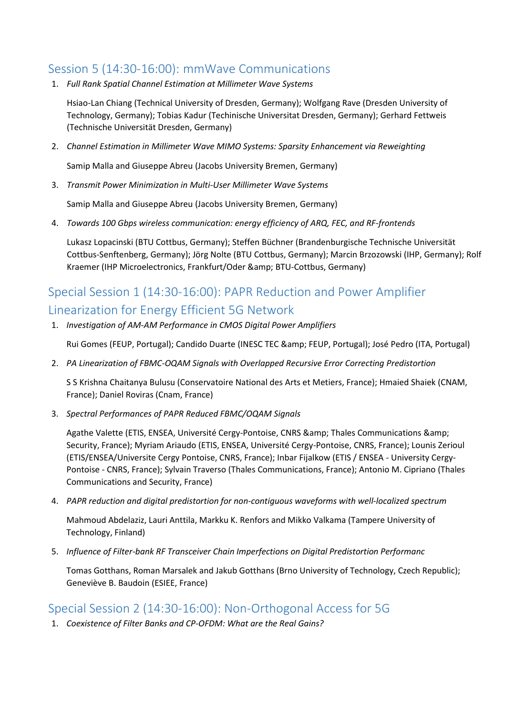## Session 5 (14:30-16:00): mmWave Communications

1. *Full Rank Spatial Channel Estimation at Millimeter Wave Systems*

Hsiao-Lan Chiang (Technical University of Dresden, Germany); Wolfgang Rave (Dresden University of Technology, Germany); Tobias Kadur (Techinische Universitat Dresden, Germany); Gerhard Fettweis (Technische Universität Dresden, Germany)

2. *Channel Estimation in Millimeter Wave MIMO Systems: Sparsity Enhancement via Reweighting*

Samip Malla and Giuseppe Abreu (Jacobs University Bremen, Germany)

3. *Transmit Power Minimization in Multi-User Millimeter Wave Systems*

Samip Malla and Giuseppe Abreu (Jacobs University Bremen, Germany)

4. *Towards 100 Gbps wireless communication: energy efficiency of ARQ, FEC, and RF-frontends*

Lukasz Lopacinski (BTU Cottbus, Germany); Steffen Büchner (Brandenburgische Technische Universität Cottbus-Senftenberg, Germany); Jörg Nolte (BTU Cottbus, Germany); Marcin Brzozowski (IHP, Germany); Rolf Kraemer (IHP Microelectronics, Frankfurt/Oder & amp; BTU-Cottbus, Germany)

# Special Session 1 (14:30-16:00): PAPR Reduction and Power Amplifier Linearization for Energy Efficient 5G Network

1. *Investigation of AM-AM Performance in CMOS Digital Power Amplifiers*

Rui Gomes (FEUP, Portugal); Candido Duarte (INESC TEC & amp; FEUP, Portugal); José Pedro (ITA, Portugal)

2. *PA Linearization of FBMC-OQAM Signals with Overlapped Recursive Error Correcting Predistortion*

S S Krishna Chaitanya Bulusu (Conservatoire National des Arts et Metiers, France); Hmaied Shaiek (CNAM, France); Daniel Roviras (Cnam, France)

3. *Spectral Performances of PAPR Reduced FBMC/OQAM Signals*

Agathe Valette (ETIS, ENSEA, Université Cergy-Pontoise, CNRS & amp; Thales Communications & amp; Security, France); Myriam Ariaudo (ETIS, ENSEA, Université Cergy-Pontoise, CNRS, France); Lounis Zerioul (ETIS/ENSEA/Universite Cergy Pontoise, CNRS, France); Inbar Fijalkow (ETIS / ENSEA - University Cergy-Pontoise - CNRS, France); Sylvain Traverso (Thales Communications, France); Antonio M. Cipriano (Thales Communications and Security, France)

4. *PAPR reduction and digital predistortion for non-contiguous waveforms with well-localized spectrum*

Mahmoud Abdelaziz, Lauri Anttila, Markku K. Renfors and Mikko Valkama (Tampere University of Technology, Finland)

5. *Influence of Filter-bank RF Transceiver Chain Imperfections on Digital Predistortion Performanc*

Tomas Gotthans, Roman Marsalek and Jakub Gotthans (Brno University of Technology, Czech Republic); Geneviève B. Baudoin (ESIEE, France)

## Special Session 2 (14:30-16:00): Non-Orthogonal Access for 5G

1. *Coexistence of Filter Banks and CP-OFDM: What are the Real Gains?*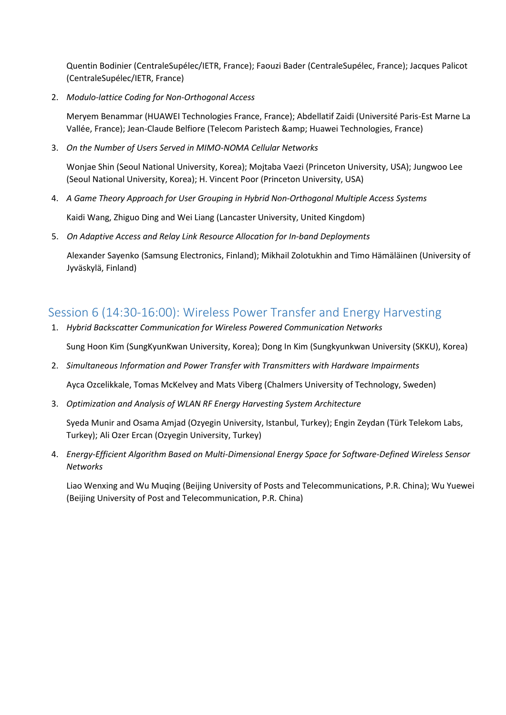Quentin Bodinier (CentraleSupélec/IETR, France); Faouzi Bader (CentraleSupélec, France); Jacques Palicot (CentraleSupélec/IETR, France)

2. *Modulo-lattice Coding for Non-Orthogonal Access*

Meryem Benammar (HUAWEI Technologies France, France); Abdellatif Zaidi (Université Paris-Est Marne La Vallée, France); Jean-Claude Belfiore (Telecom Paristech & amp; Huawei Technologies, France)

3. *On the Number of Users Served in MIMO-NOMA Cellular Networks*

Wonjae Shin (Seoul National University, Korea); Mojtaba Vaezi (Princeton University, USA); Jungwoo Lee (Seoul National University, Korea); H. Vincent Poor (Princeton University, USA)

4. *A Game Theory Approach for User Grouping in Hybrid Non-Orthogonal Multiple Access Systems*

Kaidi Wang, Zhiguo Ding and Wei Liang (Lancaster University, United Kingdom)

5. *On Adaptive Access and Relay Link Resource Allocation for In-band Deployments*

Alexander Sayenko (Samsung Electronics, Finland); Mikhail Zolotukhin and Timo Hämäläinen (University of Jyväskylä, Finland)

## Session 6 (14:30-16:00): Wireless Power Transfer and Energy Harvesting

- 1. *Hybrid Backscatter Communication for Wireless Powered Communication Networks* Sung Hoon Kim (SungKyunKwan University, Korea); Dong In Kim (Sungkyunkwan University (SKKU), Korea)
- 2. *Simultaneous Information and Power Transfer with Transmitters with Hardware Impairments*

Ayca Ozcelikkale, Tomas McKelvey and Mats Viberg (Chalmers University of Technology, Sweden)

3. *Optimization and Analysis of WLAN RF Energy Harvesting System Architecture*

Syeda Munir and Osama Amjad (Ozyegin University, Istanbul, Turkey); Engin Zeydan (Türk Telekom Labs, Turkey); Ali Ozer Ercan (Ozyegin University, Turkey)

4. *Energy-Efficient Algorithm Based on Multi-Dimensional Energy Space for Software-Defined Wireless Sensor Networks*

Liao Wenxing and Wu Muqing (Beijing University of Posts and Telecommunications, P.R. China); Wu Yuewei (Beijing University of Post and Telecommunication, P.R. China)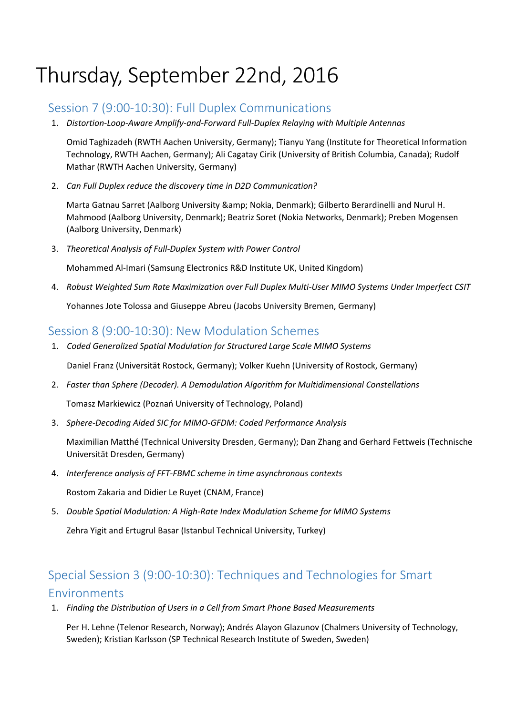# Thursday, September 22nd, 2016

## Session 7 (9:00-10:30): Full Duplex Communications

1. *Distortion-Loop-Aware Amplify-and-Forward Full-Duplex Relaying with Multiple Antennas*

Omid Taghizadeh (RWTH Aachen University, Germany); Tianyu Yang (Institute for Theoretical Information Technology, RWTH Aachen, Germany); Ali Cagatay Cirik (University of British Columbia, Canada); Rudolf Mathar (RWTH Aachen University, Germany)

2. *Can Full Duplex reduce the discovery time in D2D Communication?*

Marta Gatnau Sarret (Aalborg University & amp; Nokia, Denmark); Gilberto Berardinelli and Nurul H. Mahmood (Aalborg University, Denmark); Beatriz Soret (Nokia Networks, Denmark); Preben Mogensen (Aalborg University, Denmark)

3. *Theoretical Analysis of Full-Duplex System with Power Control*

Mohammed Al-Imari (Samsung Electronics R&D Institute UK, United Kingdom)

4. *Robust Weighted Sum Rate Maximization over Full Duplex Multi-User MIMO Systems Under Imperfect CSIT*

Yohannes Jote Tolossa and Giuseppe Abreu (Jacobs University Bremen, Germany)

## Session 8 (9:00-10:30): New Modulation Schemes

- 1. *Coded Generalized Spatial Modulation for Structured Large Scale MIMO Systems* Daniel Franz (Universität Rostock, Germany); Volker Kuehn (University of Rostock, Germany)
- 2. *Faster than Sphere (Decoder). A Demodulation Algorithm for Multidimensional Constellations*

Tomasz Markiewicz (Poznań University of Technology, Poland)

3. *Sphere-Decoding Aided SIC for MIMO-GFDM: Coded Performance Analysis*

Maximilian Matthé (Technical University Dresden, Germany); Dan Zhang and Gerhard Fettweis (Technische Universität Dresden, Germany)

4. *Interference analysis of FFT-FBMC scheme in time asynchronous contexts*

Rostom Zakaria and Didier Le Ruyet (CNAM, France)

5. *Double Spatial Modulation: A High-Rate Index Modulation Scheme for MIMO Systems* Zehra Yigit and Ertugrul Basar (Istanbul Technical University, Turkey)

# Special Session 3 (9:00-10:30): Techniques and Technologies for Smart Environments

1. *Finding the Distribution of Users in a Cell from Smart Phone Based Measurements*

Per H. Lehne (Telenor Research, Norway); Andrés Alayon Glazunov (Chalmers University of Technology, Sweden); Kristian Karlsson (SP Technical Research Institute of Sweden, Sweden)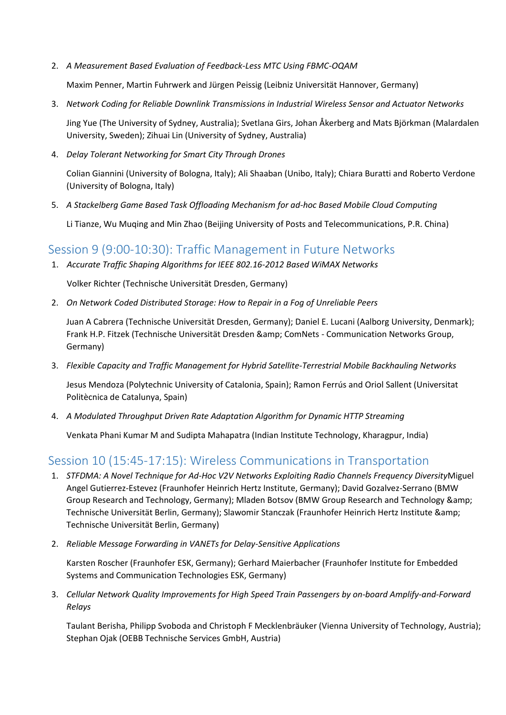2. *A Measurement Based Evaluation of Feedback-Less MTC Using FBMC-OQAM*

Maxim Penner, Martin Fuhrwerk and Jürgen Peissig (Leibniz Universität Hannover, Germany)

3. *Network Coding for Reliable Downlink Transmissions in Industrial Wireless Sensor and Actuator Networks*

Jing Yue (The University of Sydney, Australia); Svetlana Girs, Johan Åkerberg and Mats Björkman (Malardalen University, Sweden); Zihuai Lin (University of Sydney, Australia)

4. *Delay Tolerant Networking for Smart City Through Drones*

Colian Giannini (University of Bologna, Italy); Ali Shaaban (Unibo, Italy); Chiara Buratti and Roberto Verdone (University of Bologna, Italy)

5. *A Stackelberg Game Based Task Offloading Mechanism for ad-hoc Based Mobile Cloud Computing*

Li Tianze, Wu Muqing and Min Zhao (Beijing University of Posts and Telecommunications, P.R. China)

#### Session 9 (9:00-10:30): Traffic Management in Future Networks

1. *Accurate Traffic Shaping Algorithms for IEEE 802.16-2012 Based WiMAX Networks*

Volker Richter (Technische Universität Dresden, Germany)

2. *On Network Coded Distributed Storage: How to Repair in a Fog of Unreliable Peers*

Juan A Cabrera (Technische Universität Dresden, Germany); Daniel E. Lucani (Aalborg University, Denmark); Frank H.P. Fitzek (Technische Universität Dresden & amp; ComNets - Communication Networks Group, Germany)

3. *Flexible Capacity and Traffic Management for Hybrid Satellite-Terrestrial Mobile Backhauling Networks*

Jesus Mendoza (Polytechnic University of Catalonia, Spain); Ramon Ferrús and Oriol Sallent (Universitat Politècnica de Catalunya, Spain)

4. *A Modulated Throughput Driven Rate Adaptation Algorithm for Dynamic HTTP Streaming*

Venkata Phani Kumar M and Sudipta Mahapatra (Indian Institute Technology, Kharagpur, India)

## Session 10 (15:45-17:15): Wireless Communications in Transportation

- 1. *STFDMA: A Novel Technique for Ad-Hoc V2V Networks Exploiting Radio Channels Frequency Diversity*Miguel Angel Gutierrez-Estevez (Fraunhofer Heinrich Hertz Institute, Germany); David Gozalvez-Serrano (BMW Group Research and Technology, Germany); Mladen Botsov (BMW Group Research and Technology & Technische Universität Berlin, Germany); Slawomir Stanczak (Fraunhofer Heinrich Hertz Institute & Technische Universität Berlin, Germany)
- 2. *Reliable Message Forwarding in VANETs for Delay-Sensitive Applications*

Karsten Roscher (Fraunhofer ESK, Germany); Gerhard Maierbacher (Fraunhofer Institute for Embedded Systems and Communication Technologies ESK, Germany)

3. *Cellular Network Quality Improvements for High Speed Train Passengers by on-board Amplify-and-Forward Relays*

Taulant Berisha, Philipp Svoboda and Christoph F Mecklenbräuker (Vienna University of Technology, Austria); Stephan Ojak (OEBB Technische Services GmbH, Austria)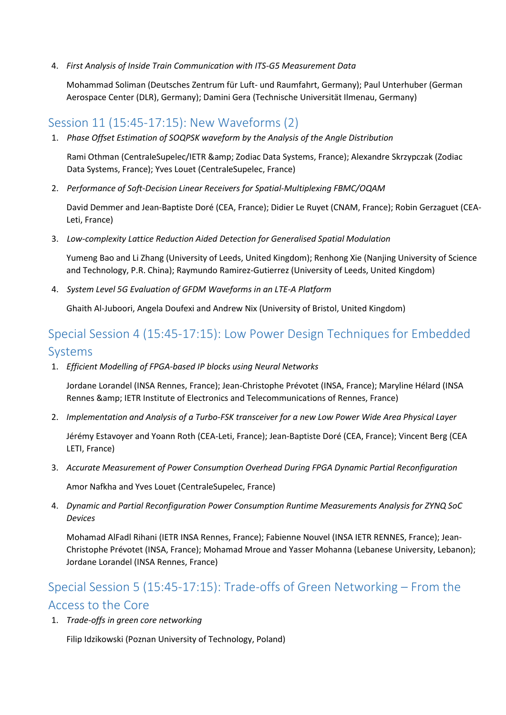4. *First Analysis of Inside Train Communication with ITS-G5 Measurement Data*

Mohammad Soliman (Deutsches Zentrum für Luft- und Raumfahrt, Germany); Paul Unterhuber (German Aerospace Center (DLR), Germany); Damini Gera (Technische Universität Ilmenau, Germany)

# Session 11 (15:45-17:15): New Waveforms (2)

1. *Phase Offset Estimation of SOQPSK waveform by the Analysis of the Angle Distribution*

Rami Othman (CentraleSupelec/IETR & amp; Zodiac Data Systems, France); Alexandre Skrzypczak (Zodiac Data Systems, France); Yves Louet (CentraleSupelec, France)

2. *Performance of Soft-Decision Linear Receivers for Spatial-Multiplexing FBMC/OQAM*

David Demmer and Jean-Baptiste Doré (CEA, France); Didier Le Ruyet (CNAM, France); Robin Gerzaguet (CEA-Leti, France)

3. *Low-complexity Lattice Reduction Aided Detection for Generalised Spatial Modulation*

Yumeng Bao and Li Zhang (University of Leeds, United Kingdom); Renhong Xie (Nanjing University of Science and Technology, P.R. China); Raymundo Ramirez-Gutierrez (University of Leeds, United Kingdom)

4. *System Level 5G Evaluation of GFDM Waveforms in an LTE-A Platform*

Ghaith Al-Juboori, Angela Doufexi and Andrew Nix (University of Bristol, United Kingdom)

# Special Session 4 (15:45-17:15): Low Power Design Techniques for Embedded Systems

1. *Efficient Modelling of FPGA-based IP blocks using Neural Networks*

Jordane Lorandel (INSA Rennes, France); Jean-Christophe Prévotet (INSA, France); Maryline Hélard (INSA Rennes & amp; IETR Institute of Electronics and Telecommunications of Rennes, France)

2. *Implementation and Analysis of a Turbo-FSK transceiver for a new Low Power Wide Area Physical Layer*

Jérémy Estavoyer and Yoann Roth (CEA-Leti, France); Jean-Baptiste Doré (CEA, France); Vincent Berg (CEA LETI, France)

3. *Accurate Measurement of Power Consumption Overhead During FPGA Dynamic Partial Reconfiguration*

Amor Nafkha and Yves Louet (CentraleSupelec, France)

4. *Dynamic and Partial Reconfiguration Power Consumption Runtime Measurements Analysis for ZYNQ SoC Devices*

Mohamad AlFadl Rihani (IETR INSA Rennes, France); Fabienne Nouvel (INSA IETR RENNES, France); Jean-Christophe Prévotet (INSA, France); Mohamad Mroue and Yasser Mohanna (Lebanese University, Lebanon); Jordane Lorandel (INSA Rennes, France)

# Special Session 5 (15:45-17:15): Trade-offs of Green Networking – From the Access to the Core

1. *Trade-offs in green core networking*

Filip Idzikowski (Poznan University of Technology, Poland)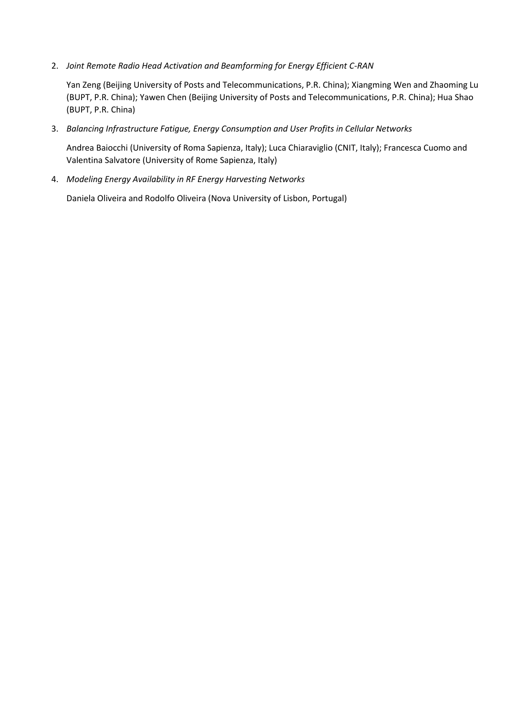2. *Joint Remote Radio Head Activation and Beamforming for Energy Efficient C-RAN*

Yan Zeng (Beijing University of Posts and Telecommunications, P.R. China); Xiangming Wen and Zhaoming Lu (BUPT, P.R. China); Yawen Chen (Beijing University of Posts and Telecommunications, P.R. China); Hua Shao (BUPT, P.R. China)

3. *Balancing Infrastructure Fatigue, Energy Consumption and User Profits in Cellular Networks*

Andrea Baiocchi (University of Roma Sapienza, Italy); Luca Chiaraviglio (CNIT, Italy); Francesca Cuomo and Valentina Salvatore (University of Rome Sapienza, Italy)

4. *Modeling Energy Availability in RF Energy Harvesting Networks*

Daniela Oliveira and Rodolfo Oliveira (Nova University of Lisbon, Portugal)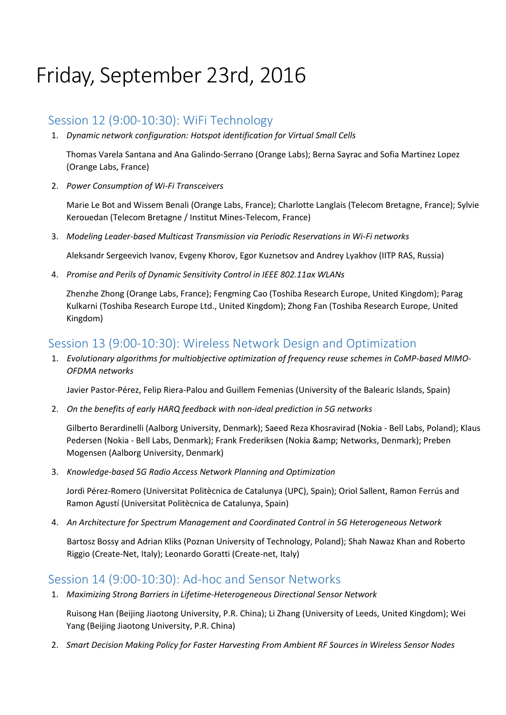# Friday, September 23rd, 2016

## Session 12 (9:00-10:30): WiFi Technology

1. *Dynamic network configuration: Hotspot identification for Virtual Small Cells*

Thomas Varela Santana and Ana Galindo-Serrano (Orange Labs); Berna Sayrac and Sofia Martinez Lopez (Orange Labs, France)

2. *Power Consumption of Wi-Fi Transceivers*

Marie Le Bot and Wissem Benali (Orange Labs, France); Charlotte Langlais (Telecom Bretagne, France); Sylvie Kerouedan (Telecom Bretagne / Institut Mines-Telecom, France)

3. *Modeling Leader-based Multicast Transmission via Periodic Reservations in Wi-Fi networks*

Aleksandr Sergeevich Ivanov, Evgeny Khorov, Egor Kuznetsov and Andrey Lyakhov (IITP RAS, Russia)

4. *Promise and Perils of Dynamic Sensitivity Control in IEEE 802.11ax WLANs*

Zhenzhe Zhong (Orange Labs, France); Fengming Cao (Toshiba Research Europe, United Kingdom); Parag Kulkarni (Toshiba Research Europe Ltd., United Kingdom); Zhong Fan (Toshiba Research Europe, United Kingdom)

## Session 13 (9:00-10:30): Wireless Network Design and Optimization

1. *Evolutionary algorithms for multiobjective optimization of frequency reuse schemes in CoMP-based MIMO-OFDMA networks*

Javier Pastor-Pérez, Felip Riera-Palou and Guillem Femenias (University of the Balearic Islands, Spain)

2. *On the benefits of early HARQ feedback with non-ideal prediction in 5G networks*

Gilberto Berardinelli (Aalborg University, Denmark); Saeed Reza Khosravirad (Nokia - Bell Labs, Poland); Klaus Pedersen (Nokia - Bell Labs, Denmark); Frank Frederiksen (Nokia & amp; Networks, Denmark); Preben Mogensen (Aalborg University, Denmark)

3. *Knowledge-based 5G Radio Access Network Planning and Optimization*

Jordi Pérez-Romero (Universitat Politècnica de Catalunya (UPC), Spain); Oriol Sallent, Ramon Ferrús and Ramon Agustí (Universitat Politècnica de Catalunya, Spain)

4. *An Architecture for Spectrum Management and Coordinated Control in 5G Heterogeneous Network*

Bartosz Bossy and Adrian Kliks (Poznan University of Technology, Poland); Shah Nawaz Khan and Roberto Riggio (Create-Net, Italy); Leonardo Goratti (Create-net, Italy)

## Session 14 (9:00-10:30): Ad-hoc and Sensor Networks

1. *Maximizing Strong Barriers in Lifetime-Heterogeneous Directional Sensor Network*

Ruisong Han (Beijing Jiaotong University, P.R. China); Li Zhang (University of Leeds, United Kingdom); Wei Yang (Beijing Jiaotong University, P.R. China)

2. *Smart Decision Making Policy for Faster Harvesting From Ambient RF Sources in Wireless Sensor Nodes*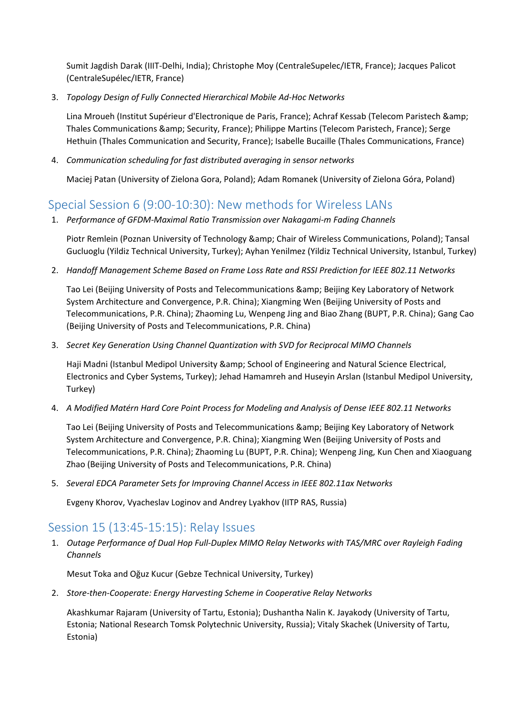Sumit Jagdish Darak (IIIT-Delhi, India); Christophe Moy (CentraleSupelec/IETR, France); Jacques Palicot (CentraleSupélec/IETR, France)

3. *Topology Design of Fully Connected Hierarchical Mobile Ad-Hoc Networks*

Lina Mroueh (Institut Supérieur d'Electronique de Paris, France); Achraf Kessab (Telecom Paristech & Thales Communications & amp; Security, France); Philippe Martins (Telecom Paristech, France); Serge Hethuin (Thales Communication and Security, France); Isabelle Bucaille (Thales Communications, France)

4. *Communication scheduling for fast distributed averaging in sensor networks*

Maciej Patan (University of Zielona Gora, Poland); Adam Romanek (University of Zielona Góra, Poland)

# Special Session 6 (9:00-10:30): New methods for Wireless LANs

1. *Performance of GFDM-Maximal Ratio Transmission over Nakagami-m Fading Channels*

Piotr Remlein (Poznan University of Technology & amp; Chair of Wireless Communications, Poland); Tansal Gucluoglu (Yildiz Technical University, Turkey); Ayhan Yenilmez (Yildiz Technical University, Istanbul, Turkey)

2. *Handoff Management Scheme Based on Frame Loss Rate and RSSI Prediction for IEEE 802.11 Networks*

Tao Lei (Beijing University of Posts and Telecommunications & amp; Beijing Key Laboratory of Network System Architecture and Convergence, P.R. China); Xiangming Wen (Beijing University of Posts and Telecommunications, P.R. China); Zhaoming Lu, Wenpeng Jing and Biao Zhang (BUPT, P.R. China); Gang Cao (Beijing University of Posts and Telecommunications, P.R. China)

3. *Secret Key Generation Using Channel Quantization with SVD for Reciprocal MIMO Channels*

Haji Madni (Istanbul Medipol University & amp; School of Engineering and Natural Science Electrical, Electronics and Cyber Systems, Turkey); Jehad Hamamreh and Huseyin Arslan (Istanbul Medipol University, Turkey)

4. *A Modified Matérn Hard Core Point Process for Modeling and Analysis of Dense IEEE 802.11 Networks*

Tao Lei (Beijing University of Posts and Telecommunications & amp; Beijing Key Laboratory of Network System Architecture and Convergence, P.R. China); Xiangming Wen (Beijing University of Posts and Telecommunications, P.R. China); Zhaoming Lu (BUPT, P.R. China); Wenpeng Jing, Kun Chen and Xiaoguang Zhao (Beijing University of Posts and Telecommunications, P.R. China)

5. *Several EDCA Parameter Sets for Improving Channel Access in IEEE 802.11ax Networks*

Evgeny Khorov, Vyacheslav Loginov and Andrey Lyakhov (IITP RAS, Russia)

# Session 15 (13:45-15:15): Relay Issues

1. *Outage Performance of Dual Hop Full-Duplex MIMO Relay Networks with TAS/MRC over Rayleigh Fading Channels*

Mesut Toka and Oğuz Kucur (Gebze Technical University, Turkey)

2. *Store-then-Cooperate: Energy Harvesting Scheme in Cooperative Relay Networks*

Akashkumar Rajaram (University of Tartu, Estonia); Dushantha Nalin K. Jayakody (University of Tartu, Estonia; National Research Tomsk Polytechnic University, Russia); Vitaly Skachek (University of Tartu, Estonia)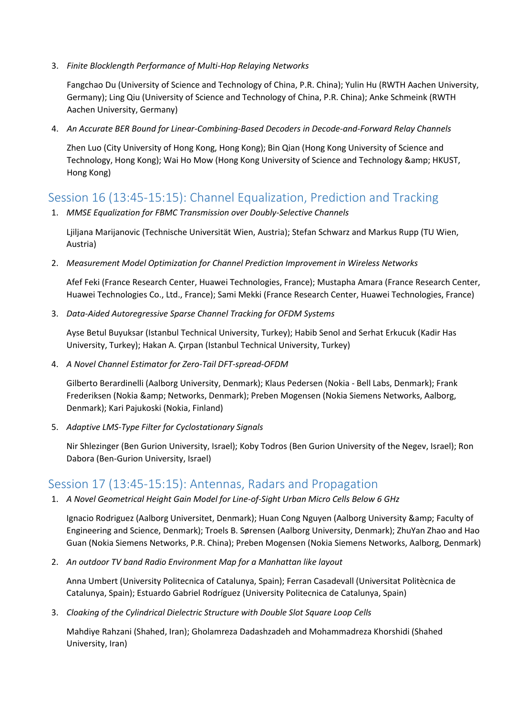3. *Finite Blocklength Performance of Multi-Hop Relaying Networks*

Fangchao Du (University of Science and Technology of China, P.R. China); Yulin Hu (RWTH Aachen University, Germany); Ling Qiu (University of Science and Technology of China, P.R. China); Anke Schmeink (RWTH Aachen University, Germany)

4. *An Accurate BER Bound for Linear-Combining-Based Decoders in Decode-and-Forward Relay Channels*

Zhen Luo (City University of Hong Kong, Hong Kong); Bin Qian (Hong Kong University of Science and Technology, Hong Kong); Wai Ho Mow (Hong Kong University of Science and Technology & amp; HKUST, Hong Kong)

# Session 16 (13:45-15:15): Channel Equalization, Prediction and Tracking

1. *MMSE Equalization for FBMC Transmission over Doubly-Selective Channels*

Ljiljana Marijanovic (Technische Universität Wien, Austria); Stefan Schwarz and Markus Rupp (TU Wien, Austria)

2. *Measurement Model Optimization for Channel Prediction Improvement in Wireless Networks*

Afef Feki (France Research Center, Huawei Technologies, France); Mustapha Amara (France Research Center, Huawei Technologies Co., Ltd., France); Sami Mekki (France Research Center, Huawei Technologies, France)

3. *Data-Aided Autoregressive Sparse Channel Tracking for OFDM Systems*

Ayse Betul Buyuksar (Istanbul Technical University, Turkey); Habib Senol and Serhat Erkucuk (Kadir Has University, Turkey); Hakan A. Çırpan (Istanbul Technical University, Turkey)

4. *A Novel Channel Estimator for Zero-Tail DFT-spread-OFDM*

Gilberto Berardinelli (Aalborg University, Denmark); Klaus Pedersen (Nokia - Bell Labs, Denmark); Frank Frederiksen (Nokia & amp; Networks, Denmark); Preben Mogensen (Nokia Siemens Networks, Aalborg, Denmark); Kari Pajukoski (Nokia, Finland)

5. *Adaptive LMS-Type Filter for Cyclostationary Signals*

Nir Shlezinger (Ben Gurion University, Israel); Koby Todros (Ben Gurion University of the Negev, Israel); Ron Dabora (Ben-Gurion University, Israel)

# Session 17 (13:45-15:15): Antennas, Radars and Propagation

1. *A Novel Geometrical Height Gain Model for Line-of-Sight Urban Micro Cells Below 6 GHz*

Ignacio Rodriguez (Aalborg Universitet, Denmark); Huan Cong Nguyen (Aalborg University & amp; Faculty of Engineering and Science, Denmark); Troels B. Sørensen (Aalborg University, Denmark); ZhuYan Zhao and Hao Guan (Nokia Siemens Networks, P.R. China); Preben Mogensen (Nokia Siemens Networks, Aalborg, Denmark)

2. *An outdoor TV band Radio Environment Map for a Manhattan like layout*

Anna Umbert (University Politecnica of Catalunya, Spain); Ferran Casadevall (Universitat Politècnica de Catalunya, Spain); Estuardo Gabriel Rodríguez (University Politecnica de Catalunya, Spain)

3. *Cloaking of the Cylindrical Dielectric Structure with Double Slot Square Loop Cells*

Mahdiye Rahzani (Shahed, Iran); Gholamreza Dadashzadeh and Mohammadreza Khorshidi (Shahed University, Iran)